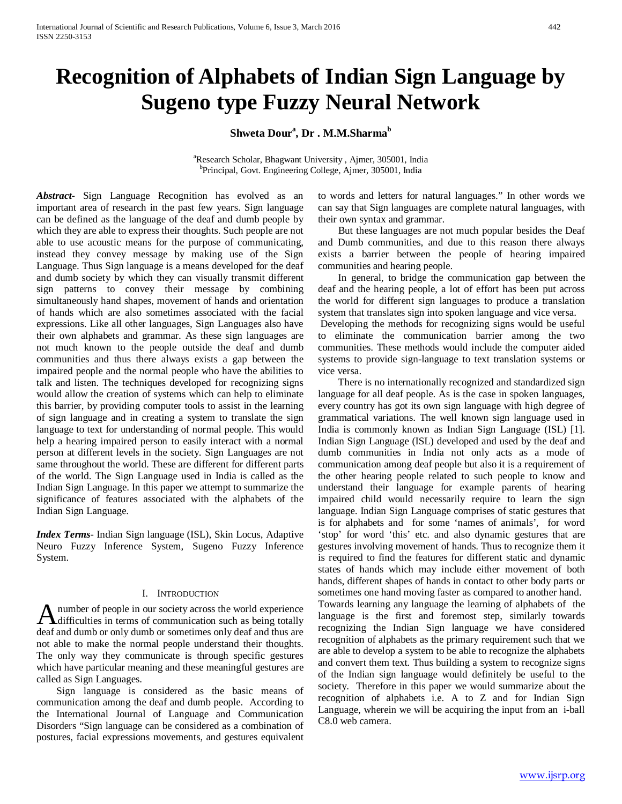# **Recognition of Alphabets of Indian Sign Language by Sugeno type Fuzzy Neural Network**

# $\mathbf{Shweta}$   $\mathbf{Down}^{\rm a}, \mathbf{Dr}$  .  $\mathbf{M}.\mathbf{M}.\mathbf{Sharma}^{\rm b}$

a Research Scholar, Bhagwant University , Ajmer, 305001, India b Principal, Govt. Engineering College, Ajmer, 305001, India

*Abstract***-** Sign Language Recognition has evolved as an important area of research in the past few years. Sign language can be defined as the language of the deaf and dumb people by which they are able to express their thoughts. Such people are not able to use acoustic means for the purpose of communicating, instead they convey message by making use of the Sign Language. Thus Sign language is a means developed for the deaf and dumb society by which they can visually transmit different sign patterns to convey their message by combining simultaneously hand shapes, movement of hands and orientation of hands which are also sometimes associated with the facial expressions. Like all other languages, Sign Languages also have their own alphabets and grammar. As these sign languages are not much known to the people outside the deaf and dumb communities and thus there always exists a gap between the impaired people and the normal people who have the abilities to talk and listen. The techniques developed for recognizing signs would allow the creation of systems which can help to eliminate this barrier, by providing computer tools to assist in the learning of sign language and in creating a system to translate the sign language to text for understanding of normal people. This would help a hearing impaired person to easily interact with a normal person at different levels in the society. Sign Languages are not same throughout the world. These are different for different parts of the world. The Sign Language used in India is called as the Indian Sign Language. In this paper we attempt to summarize the significance of features associated with the alphabets of the Indian Sign Language.

*Index Terms*- Indian Sign language (ISL), Skin Locus, Adaptive Neuro Fuzzy Inference System, Sugeno Fuzzy Inference System.

## I. INTRODUCTION

number of people in our society across the world experience A number of people in our society across the world experience<br>difficulties in terms of communication such as being totally deaf and dumb or only dumb or sometimes only deaf and thus are not able to make the normal people understand their thoughts. The only way they communicate is through specific gestures which have particular meaning and these meaningful gestures are called as Sign Languages.

 Sign language is considered as the basic means of communication among the deaf and dumb people. According to the International Journal of Language and Communication Disorders "Sign language can be considered as a combination of postures, facial expressions movements, and gestures equivalent to words and letters for natural languages." In other words we can say that Sign languages are complete natural languages, with their own syntax and grammar.

 But these languages are not much popular besides the Deaf and Dumb communities, and due to this reason there always exists a barrier between the people of hearing impaired communities and hearing people.

 In general, to bridge the communication gap between the deaf and the hearing people, a lot of effort has been put across the world for different sign languages to produce a translation system that translates sign into spoken language and vice versa.

Developing the methods for recognizing signs would be useful to eliminate the communication barrier among the two communities. These methods would include the computer aided systems to provide sign-language to text translation systems or vice versa.

 There is no internationally recognized and standardized sign language for all deaf people. As is the case in spoken languages, every country has got its own sign language with high degree of grammatical variations. The well known sign language used in India is commonly known as Indian Sign Language (ISL) [1]. Indian Sign Language (ISL) developed and used by the deaf and dumb communities in India not only acts as a mode of communication among deaf people but also it is a requirement of the other hearing people related to such people to know and understand their language for example parents of hearing impaired child would necessarily require to learn the sign language. Indian Sign Language comprises of static gestures that is for alphabets and for some 'names of animals', for word 'stop' for word 'this' etc. and also dynamic gestures that are gestures involving movement of hands. Thus to recognize them it is required to find the features for different static and dynamic states of hands which may include either movement of both hands, different shapes of hands in contact to other body parts or sometimes one hand moving faster as compared to another hand. Towards learning any language the learning of alphabets of the language is the first and foremost step, similarly towards recognizing the Indian Sign language we have considered recognition of alphabets as the primary requirement such that we are able to develop a system to be able to recognize the alphabets and convert them text. Thus building a system to recognize signs of the Indian sign language would definitely be useful to the

society. Therefore in this paper we would summarize about the recognition of alphabets i.e. A to Z and for Indian Sign Language, wherein we will be acquiring the input from an i-ball C8.0 web camera.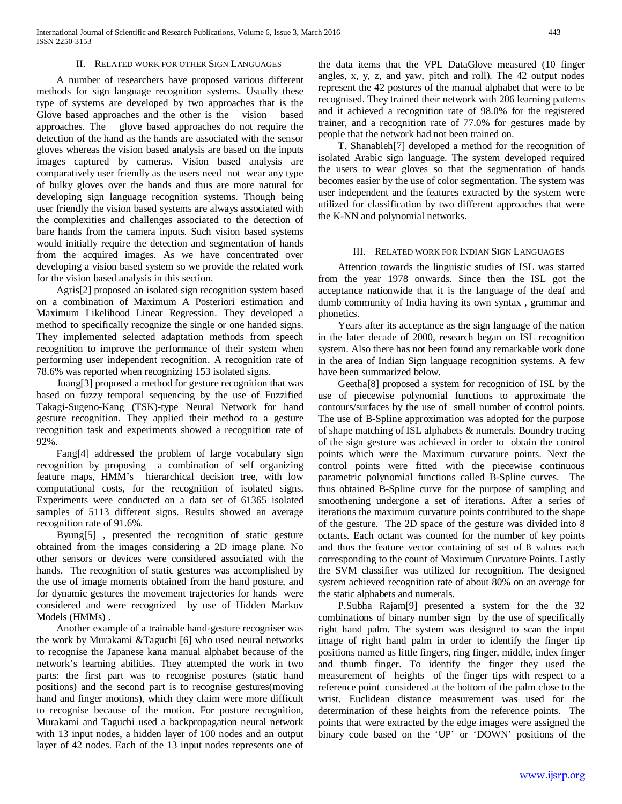#### II. RELATED WORK FOR OTHER SIGN LANGUAGES

 A number of researchers have proposed various different methods for sign language recognition systems. Usually these type of systems are developed by two approaches that is the Glove based approaches and the other is the vision based approaches. The glove based approaches do not require the detection of the hand as the hands are associated with the sensor gloves whereas the vision based analysis are based on the inputs images captured by cameras. Vision based analysis are comparatively user friendly as the users need not wear any type of bulky gloves over the hands and thus are more natural for developing sign language recognition systems. Though being user friendly the vision based systems are always associated with the complexities and challenges associated to the detection of bare hands from the camera inputs. Such vision based systems would initially require the detection and segmentation of hands from the acquired images. As we have concentrated over developing a vision based system so we provide the related work for the vision based analysis in this section.

 Agris[2] proposed an isolated sign recognition system based on a combination of Maximum A Posteriori estimation and Maximum Likelihood Linear Regression. They developed a method to specifically recognize the single or one handed signs. They implemented selected adaptation methods from speech recognition to improve the performance of their system when performing user independent recognition. A recognition rate of 78.6% was reported when recognizing 153 isolated signs.

 Juang[3] proposed a method for gesture recognition that was based on fuzzy temporal sequencing by the use of Fuzzified Takagi-Sugeno-Kang (TSK)-type Neural Network for hand gesture recognition. They applied their method to a gesture recognition task and experiments showed a recognition rate of 92%.

 Fang[4] addressed the problem of large vocabulary sign recognition by proposing a combination of self organizing feature maps, HMM's hierarchical decision tree, with low computational costs, for the recognition of isolated signs. Experiments were conducted on a data set of 61365 isolated samples of 5113 different signs. Results showed an average recognition rate of 91.6%.

 Byung[5] , presented the recognition of static gesture obtained from the images considering a 2D image plane. No other sensors or devices were considered associated with the hands. The recognition of static gestures was accomplished by the use of image moments obtained from the hand posture, and for dynamic gestures the movement trajectories for hands were considered and were recognized by use of Hidden Markov Models (HMMs) .

 Another example of a trainable hand-gesture recogniser was the work by Murakami &Taguchi [6] who used neural networks to recognise the Japanese kana manual alphabet because of the network's learning abilities. They attempted the work in two parts: the first part was to recognise postures (static hand positions) and the second part is to recognise gestures(moving hand and finger motions), which they claim were more difficult to recognise because of the motion. For posture recognition, Murakami and Taguchi used a backpropagation neural network with 13 input nodes, a hidden layer of 100 nodes and an output layer of 42 nodes. Each of the 13 input nodes represents one of the data items that the VPL DataGlove measured (10 finger angles, x, y, z, and yaw, pitch and roll). The 42 output nodes represent the 42 postures of the manual alphabet that were to be recognised. They trained their network with 206 learning patterns and it achieved a recognition rate of 98.0% for the registered trainer, and a recognition rate of 77.0% for gestures made by people that the network had not been trained on.

 T. Shanableh[7] developed a method for the recognition of isolated Arabic sign language. The system developed required the users to wear gloves so that the segmentation of hands becomes easier by the use of color segmentation. The system was user independent and the features extracted by the system were utilized for classification by two different approaches that were the K-NN and polynomial networks.

#### III. RELATED WORK FOR INDIAN SIGN LANGUAGES

 Attention towards the linguistic studies of ISL was started from the year 1978 onwards. Since then the ISL got the acceptance nationwide that it is the language of the deaf and dumb community of India having its own syntax , grammar and phonetics.

 Years after its acceptance as the sign language of the nation in the later decade of 2000, research began on ISL recognition system. Also there has not been found any remarkable work done in the area of Indian Sign language recognition systems. A few have been summarized below.

 Geetha[8] proposed a system for recognition of ISL by the use of piecewise polynomial functions to approximate the contours/surfaces by the use of small number of control points. The use of B-Spline approximation was adopted for the purpose of shape matching of ISL alphabets & numerals. Boundry tracing of the sign gesture was achieved in order to obtain the control points which were the Maximum curvature points. Next the control points were fitted with the piecewise continuous parametric polynomial functions called B-Spline curves. The thus obtained B-Spline curve for the purpose of sampling and smoothening undergone a set of iterations. After a series of iterations the maximum curvature points contributed to the shape of the gesture. The 2D space of the gesture was divided into 8 octants. Each octant was counted for the number of key points and thus the feature vector containing of set of 8 values each corresponding to the count of Maximum Curvature Points. Lastly the SVM classifier was utilized for recognition. The designed system achieved recognition rate of about 80% on an average for the static alphabets and numerals.

 P.Subha Rajam[9] presented a system for the the 32 combinations of binary number sign by the use of specifically right hand palm. The system was designed to scan the input image of right hand palm in order to identify the finger tip positions named as little fingers, ring finger, middle, index finger and thumb finger. To identify the finger they used the measurement of heights of the finger tips with respect to a reference point considered at the bottom of the palm close to the wrist. Euclidean distance measurement was used for the determination of these heights from the reference points. The points that were extracted by the edge images were assigned the binary code based on the 'UP' or 'DOWN' positions of the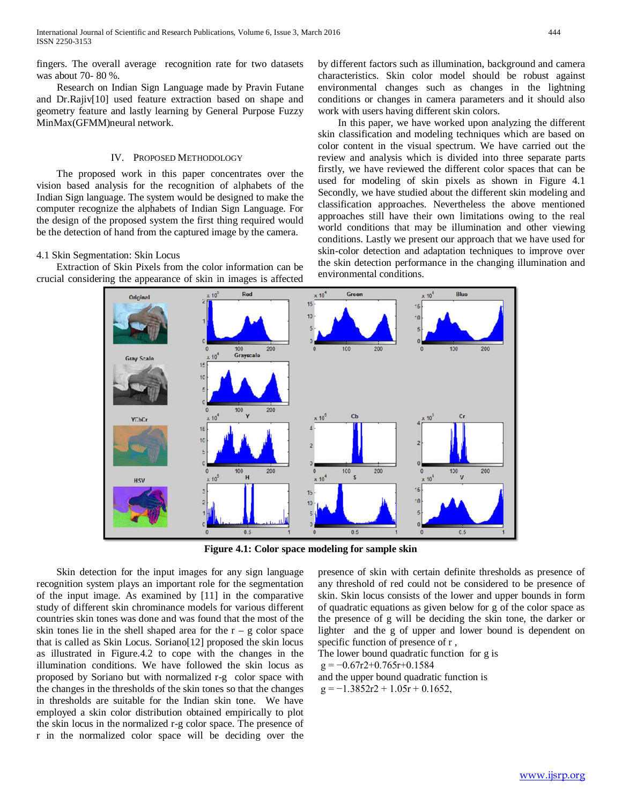fingers. The overall average recognition rate for two datasets was about 70- 80 %.

 Research on Indian Sign Language made by Pravin Futane and Dr.Rajiv[10] used feature extraction based on shape and geometry feature and lastly learning by General Purpose Fuzzy MinMax(GFMM)neural network.

#### IV. PROPOSED METHODOLOGY

 The proposed work in this paper concentrates over the vision based analysis for the recognition of alphabets of the Indian Sign language. The system would be designed to make the computer recognize the alphabets of Indian Sign Language. For the design of the proposed system the first thing required would be the detection of hand from the captured image by the camera.

#### 4.1 Skin Segmentation: Skin Locus

 Extraction of Skin Pixels from the color information can be crucial considering the appearance of skin in images is affected by different factors such as illumination, background and camera characteristics. Skin color model should be robust against environmental changes such as changes in the lightning conditions or changes in camera parameters and it should also work with users having different skin colors.

 In this paper, we have worked upon analyzing the different skin classification and modeling techniques which are based on color content in the visual spectrum. We have carried out the review and analysis which is divided into three separate parts firstly, we have reviewed the different color spaces that can be used for modeling of skin pixels as shown in Figure 4.1 Secondly, we have studied about the different skin modeling and classification approaches. Nevertheless the above mentioned approaches still have their own limitations owing to the real world conditions that may be illumination and other viewing conditions. Lastly we present our approach that we have used for skin-color detection and adaptation techniques to improve over the skin detection performance in the changing illumination and environmental conditions.



**Figure 4.1: Color space modeling for sample skin**

 Skin detection for the input images for any sign language recognition system plays an important role for the segmentation of the input image. As examined by [11] in the comparative study of different skin chrominance models for various different countries skin tones was done and was found that the most of the skin tones lie in the shell shaped area for the  $r - g$  color space that is called as Skin Locus. Soriano[12] proposed the skin locus as illustrated in Figure.4.2 to cope with the changes in the illumination conditions. We have followed the skin locus as proposed by Soriano but with normalized r-g color space with the changes in the thresholds of the skin tones so that the changes in thresholds are suitable for the Indian skin tone. We have employed a skin color distribution obtained empirically to plot the skin locus in the normalized r-g color space. The presence of r in the normalized color space will be deciding over the presence of skin with certain definite thresholds as presence of any threshold of red could not be considered to be presence of skin. Skin locus consists of the lower and upper bounds in form of quadratic equations as given below for g of the color space as the presence of g will be deciding the skin tone, the darker or lighter and the g of upper and lower bound is dependent on specific function of presence of r ,

The lower bound quadratic function for g is  $g = -0.67r2+0.765r+0.1584$ and the upper bound quadratic function is  $g = -1.3852r2 + 1.05r + 0.1652$ ,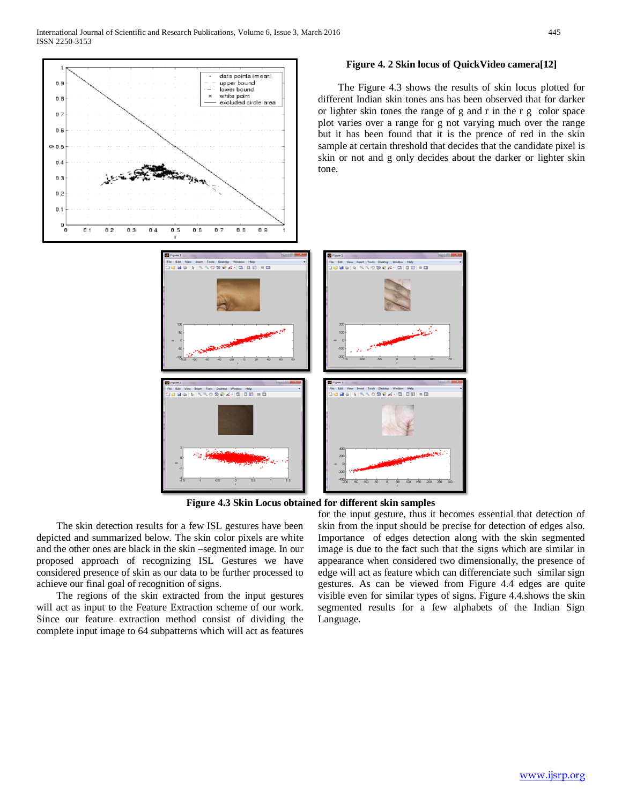$0.5$ 

 $0.8$ 

0.  $0E$ on a  $04$ o s  $0.2$ 0.1



#### **Figure 4. 2 Skin locus of QuickVideo camera[12]**

 The Figure 4.3 shows the results of skin locus plotted for different Indian skin tones ans has been observed that for darker or lighter skin tones the range of g and r in the r g color space plot varies over a range for g not varying much over the range but it has been found that it is the prence of red in the skin sample at certain threshold that decides that the candidate pixel is skin or not and g only decides about the darker or lighter skin

**Figure 4.3 Skin Locus obtained for different skin samples**

 The skin detection results for a few ISL gestures have been depicted and summarized below. The skin color pixels are white and the other ones are black in the skin –segmented image. In our proposed approach of recognizing ISL Gestures we have considered presence of skin as our data to be further processed to achieve our final goal of recognition of signs.

 The regions of the skin extracted from the input gestures will act as input to the Feature Extraction scheme of our work. Since our feature extraction method consist of dividing the complete input image to 64 subpatterns which will act as features

for the input gesture, thus it becomes essential that detection of skin from the input should be precise for detection of edges also. Importance of edges detection along with the skin segmented image is due to the fact such that the signs which are similar in appearance when considered two dimensionally, the presence of edge will act as feature which can differenciate such similar sign gestures. As can be viewed from Figure 4.4 edges are quite visible even for similar types of signs. Figure 4.4.shows the skin segmented results for a few alphabets of the Indian Sign Language.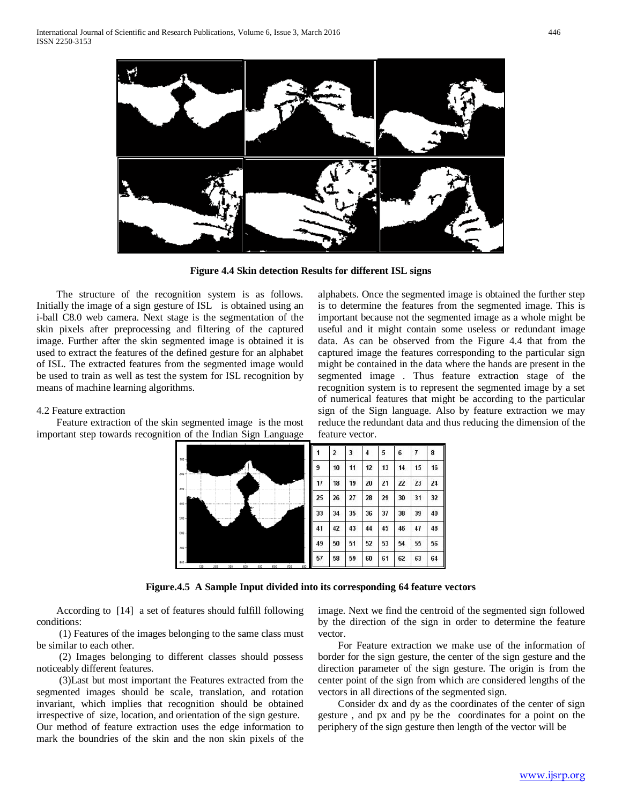

**Figure 4.4 Skin detection Results for different ISL signs**

 The structure of the recognition system is as follows. Initially the image of a sign gesture of ISL is obtained using an i-ball C8.0 web camera. Next stage is the segmentation of the skin pixels after preprocessing and filtering of the captured image. Further after the skin segmented image is obtained it is used to extract the features of the defined gesture for an alphabet of ISL. The extracted features from the segmented image would be used to train as well as test the system for ISL recognition by means of machine learning algorithms.

#### 4.2 Feature extraction

 Feature extraction of the skin segmented image is the most important step towards recognition of the Indian Sign Language alphabets. Once the segmented image is obtained the further step is to determine the features from the segmented image. This is important because not the segmented image as a whole might be useful and it might contain some useless or redundant image data. As can be observed from the Figure 4.4 that from the captured image the features corresponding to the particular sign might be contained in the data where the hands are present in the segmented image . Thus feature extraction stage of the recognition system is to represent the segmented image by a set of numerical features that might be according to the particular sign of the Sign language. Also by feature extraction we may reduce the redundant data and thus reducing the dimension of the feature vector.



**Figure.4.5 A Sample Input divided into its corresponding 64 feature vectors**

 According to [14] a set of features should fulfill following conditions:

 (1) Features of the images belonging to the same class must be similar to each other.

 (2) Images belonging to different classes should possess noticeably different features.

 (3)Last but most important the Features extracted from the segmented images should be scale, translation, and rotation invariant, which implies that recognition should be obtained irrespective of size, location, and orientation of the sign gesture. Our method of feature extraction uses the edge information to mark the boundries of the skin and the non skin pixels of the image. Next we find the centroid of the segmented sign followed by the direction of the sign in order to determine the feature vector.

 For Feature extraction we make use of the information of border for the sign gesture, the center of the sign gesture and the direction parameter of the sign gesture. The origin is from the center point of the sign from which are considered lengths of the vectors in all directions of the segmented sign.

 Consider dx and dy as the coordinates of the center of sign gesture , and px and py be the coordinates for a point on the periphery of the sign gesture then length of the vector will be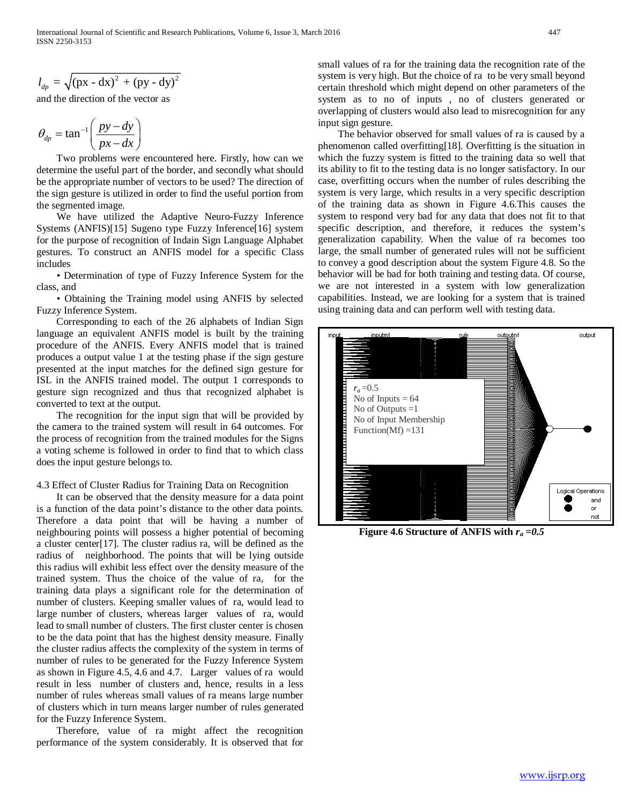$$
l_{dp} = \sqrt{(px - dx)^2 + (py - dy)^2}
$$

and the direction of the vector as

$$
\theta_{dp} = \tan^{-1}\left(\frac{py - dy}{px - dx}\right)
$$

 Two problems were encountered here. Firstly, how can we determine the useful part of the border, and secondly what should be the appropriate number of vectors to be used? The direction of the sign gesture is utilized in order to find the useful portion from the segmented image.

 We have utilized the Adaptive Neuro-Fuzzy Inference Systems (ANFIS)[15] Sugeno type Fuzzy Inference[16] system for the purpose of recognition of Indain Sign Language Alphabet gestures. To construct an ANFIS model for a specific Class includes

 • Determination of type of Fuzzy Inference System for the class, and

 • Obtaining the Training model using ANFIS by selected Fuzzy Inference System.

 Corresponding to each of the 26 alphabets of Indian Sign language an equivalent ANFIS model is built by the training procedure of the ANFIS. Every ANFIS model that is trained produces a output value 1 at the testing phase if the sign gesture presented at the input matches for the defined sign gesture for ISL in the ANFIS trained model. The output 1 corresponds to gesture sign recognized and thus that recognized alphabet is converted to text at the output.

 The recognition for the input sign that will be provided by the camera to the trained system will result in 64 outcomes. For the process of recognition from the trained modules for the Signs a voting scheme is followed in order to find that to which class does the input gesture belongs to.

#### 4.3 Effect of Cluster Radius for Training Data on Recognition

 It can be observed that the density measure for a data point is a function of the data point's distance to the other data points. Therefore a data point that will be having a number of neighbouring points will possess a higher potential of becoming a cluster center[17]. The cluster radius ra, will be defined as the radius of neighborhood. The points that will be lying outside this radius will exhibit less effect over the density measure of the trained system. Thus the choice of the value of ra, for the training data plays a significant role for the determination of number of clusters. Keeping smaller values of ra, would lead to large number of clusters, whereas larger values of ra, would lead to small number of clusters. The first cluster center is chosen to be the data point that has the highest density measure. Finally the cluster radius affects the complexity of the system in terms of number of rules to be generated for the Fuzzy Inference System as shown in Figure 4.5, 4.6 and 4.7. Larger values of ra would result in less number of clusters and, hence, results in a less number of rules whereas small values of ra means large number of clusters which in turn means larger number of rules generated for the Fuzzy Inference System.

 Therefore, value of ra might affect the recognition performance of the system considerably. It is observed that for small values of ra for the training data the recognition rate of the system is very high. But the choice of ra to be very small beyond certain threshold which might depend on other parameters of the system as to no of inputs , no of clusters generated or overlapping of clusters would also lead to misrecognition for any input sign gesture.

 The behavior observed for small values of ra is caused by a phenomenon called overfitting[18]. Overfitting is the situation in which the fuzzy system is fitted to the training data so well that its ability to fit to the testing data is no longer satisfactory. In our case, overfitting occurs when the number of rules describing the system is very large, which results in a very specific description of the training data as shown in Figure 4.6.This causes the system to respond very bad for any data that does not fit to that specific description, and therefore, it reduces the system's generalization capability. When the value of ra becomes too large, the small number of generated rules will not be sufficient to convey a good description about the system Figure 4.8. So the behavior will be bad for both training and testing data. Of course, we are not interested in a system with low generalization capabilities. Instead, we are looking for a system that is trained using training data and can perform well with testing data.



**Figure 4.6 Structure of ANFIS with** *ra =0.5*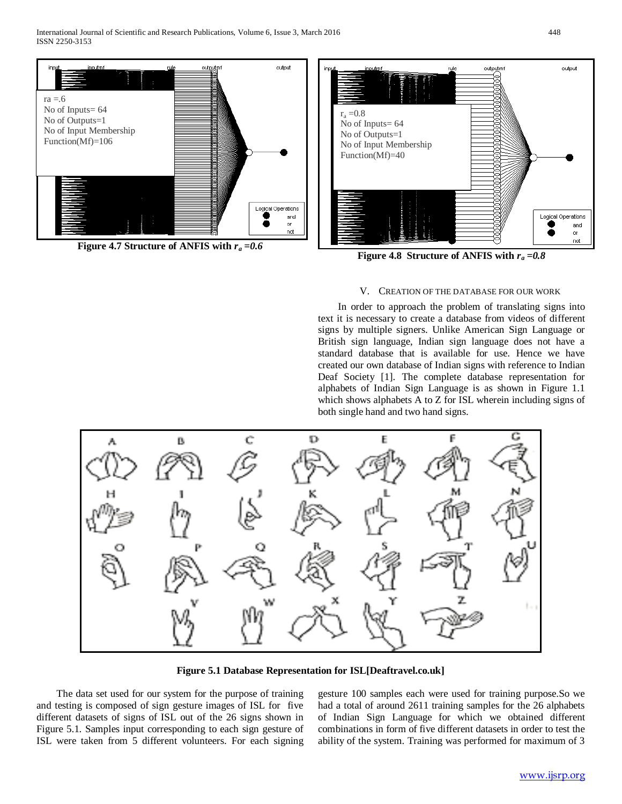

**Figure 4.7 Structure of ANFIS with**  $r_a = 0.6$ 



**Figure 4.8 Structure of ANFIS with**  $r_a = 0.8$ 

#### V. CREATION OF THE DATABASE FOR OUR WORK

 In order to approach the problem of translating signs into text it is necessary to create a database from videos of different signs by multiple signers. Unlike American Sign Language or British sign language, Indian sign language does not have a standard database that is available for use. Hence we have created our own database of Indian signs with reference to Indian Deaf Society [1]. The complete database representation for alphabets of Indian Sign Language is as shown in Figure 1.1 which shows alphabets A to Z for ISL wherein including signs of both single hand and two hand signs.



**Figure 5.1 Database Representation for ISL[Deaftravel.co.uk]**

 The data set used for our system for the purpose of training and testing is composed of sign gesture images of ISL for five different datasets of signs of ISL out of the 26 signs shown in Figure 5.1. Samples input corresponding to each sign gesture of ISL were taken from 5 different volunteers. For each signing gesture 100 samples each were used for training purpose.So we had a total of around 2611 training samples for the 26 alphabets of Indian Sign Language for which we obtained different combinations in form of five different datasets in order to test the ability of the system. Training was performed for maximum of 3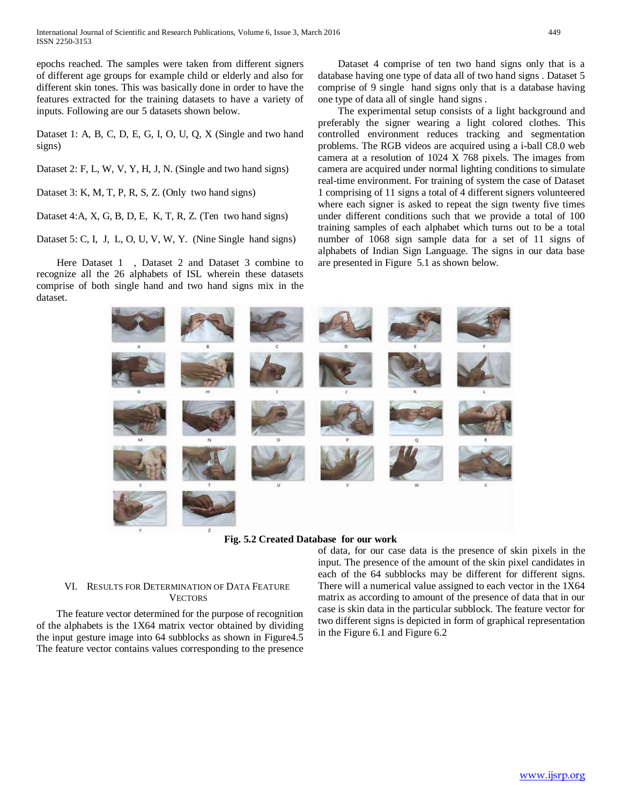International Journal of Scientific and Research Publications, Volume 6, Issue 3, March 2016 449 ISSN 2250-3153

epochs reached. The samples were taken from different signers of different age groups for example child or elderly and also for different skin tones. This was basically done in order to have the features extracted for the training datasets to have a variety of inputs. Following are our 5 datasets shown below.

Dataset 1: A, B, C, D, E, G, I, O, U, Q, X (Single and two hand signs)

Dataset 2: F, L, W, V, Y, H, J, N. (Single and two hand signs)

Dataset 3: K, M, T, P, R, S, Z. (Only two hand signs)

Dataset 4:A, X, G, B, D, E, K, T, R, Z. (Ten two hand signs)

Dataset 5: C, I, J, L, O, U, V, W, Y. (Nine Single hand signs)

 Here Dataset 1 , Dataset 2 and Dataset 3 combine to recognize all the 26 alphabets of ISL wherein these datasets comprise of both single hand and two hand signs mix in the dataset.

 Dataset 4 comprise of ten two hand signs only that is a database having one type of data all of two hand signs . Dataset 5 comprise of 9 single hand signs only that is a database having one type of data all of single hand signs .

 The experimental setup consists of a light background and preferably the signer wearing a light colored clothes. This controlled environment reduces tracking and segmentation problems. The RGB videos are acquired using a i-ball C8.0 web camera at a resolution of 1024 X 768 pixels. The images from camera are acquired under normal lighting conditions to simulate real-time environment. For training of system the case of Dataset 1 comprising of 11 signs a total of 4 different signers volunteered where each signer is asked to repeat the sign twenty five times under different conditions such that we provide a total of 100 training samples of each alphabet which turns out to be a total number of 1068 sign sample data for a set of 11 signs of alphabets of Indian Sign Language. The signs in our data base are presented in Figure 5.1 as shown below.



**Fig. 5.2 Created Database for our work**

## VI. RESULTS FOR DETERMINATION OF DATA FEATURE **VECTORS**

 The feature vector determined for the purpose of recognition of the alphabets is the 1X64 matrix vector obtained by dividing the input gesture image into 64 subblocks as shown in Figure4.5 The feature vector contains values corresponding to the presence

of data, for our case data is the presence of skin pixels in the input. The presence of the amount of the skin pixel candidates in each of the 64 subblocks may be different for different signs. There will a numerical value assigned to each vector in the 1X64 matrix as according to amount of the presence of data that in our case is skin data in the particular subblock. The feature vector for two different signs is depicted in form of graphical representation in the Figure 6.1 and Figure 6.2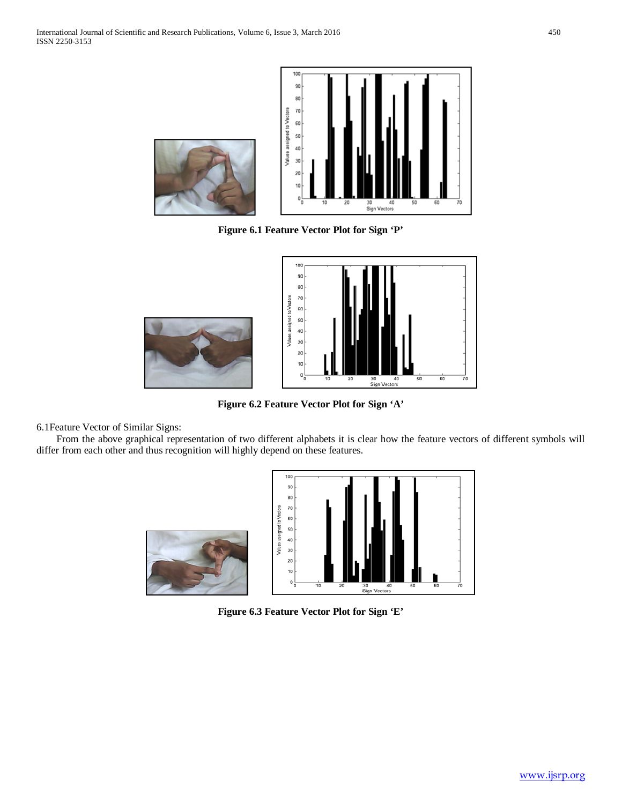

**Figure 6.1 Feature Vector Plot for Sign 'P'**



**Figure 6.2 Feature Vector Plot for Sign 'A'**

6.1Feature Vector of Similar Signs:

 From the above graphical representation of two different alphabets it is clear how the feature vectors of different symbols will differ from each other and thus recognition will highly depend on these features.



**Figure 6.3 Feature Vector Plot for Sign 'E'**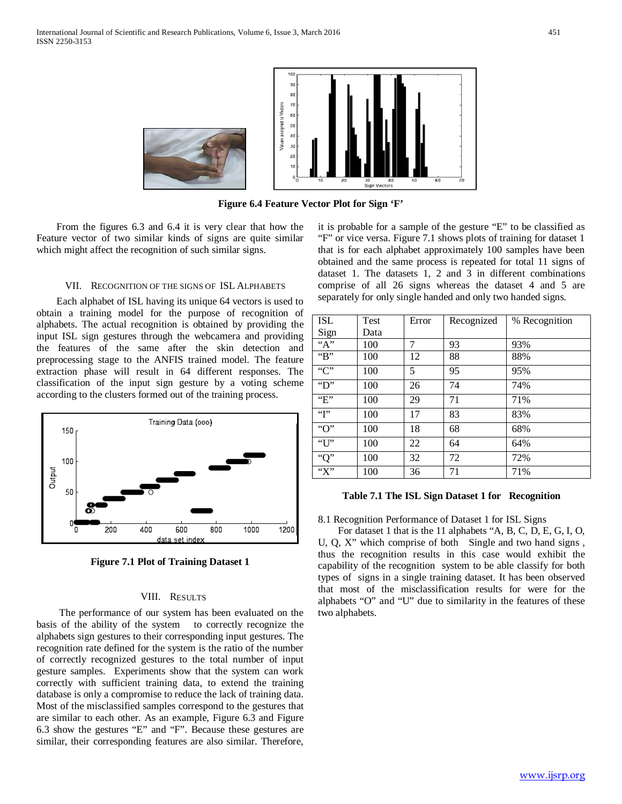

**Figure 6.4 Feature Vector Plot for Sign 'F'**

 From the figures 6.3 and 6.4 it is very clear that how the Feature vector of two similar kinds of signs are quite similar which might affect the recognition of such similar signs.

#### VII. RECOGNITION OF THE SIGNS OF ISL ALPHABETS

 Each alphabet of ISL having its unique 64 vectors is used to obtain a training model for the purpose of recognition of alphabets. The actual recognition is obtained by providing the input ISL sign gestures through the webcamera and providing the features of the same after the skin detection and preprocessing stage to the ANFIS trained model. The feature extraction phase will result in 64 different responses. The classification of the input sign gesture by a voting scheme according to the clusters formed out of the training process.



**Figure 7.1 Plot of Training Dataset 1**

#### VIII. RESULTS

 The performance of our system has been evaluated on the basis of the ability of the system to correctly recognize the alphabets sign gestures to their corresponding input gestures. The recognition rate defined for the system is the ratio of the number of correctly recognized gestures to the total number of input gesture samples. Experiments show that the system can work correctly with sufficient training data, to extend the training database is only a compromise to reduce the lack of training data. Most of the misclassified samples correspond to the gestures that are similar to each other. As an example, Figure 6.3 and Figure 6.3 show the gestures "E" and "F". Because these gestures are similar, their corresponding features are also similar. Therefore, it is probable for a sample of the gesture "E" to be classified as "F" or vice versa. Figure 7.1 shows plots of training for dataset 1 that is for each alphabet approximately 100 samples have been obtained and the same process is repeated for total 11 signs of dataset 1. The datasets 1, 2 and 3 in different combinations comprise of all 26 signs whereas the dataset 4 and 5 are separately for only single handed and only two handed signs.

| ISL                                    | Test | Error | Recognized | % Recognition |
|----------------------------------------|------|-------|------------|---------------|
| Sign                                   | Data |       |            |               |
| $\overline{A}$                         | 100  | 7     | 93         | 93%           |
| " $B$ "                                | 100  | 12    | 88         | 88%           |
| $\overline{C}$                         | 100  | 5     | 95         | 95%           |
| $\overline{\mathbf{D}^{\prime\prime}}$ | 100  | 26    | 74         | 74%           |
| E                                      | 100  | 29    | 71         | 71%           |
| $\overline{\mathbf{f}}$                | 100  | 17    | 83         | 83%           |
| " $O$ "                                | 100  | 18    | 68         | 68%           |
| $\overline{U}$                         | 100  | 22    | 64         | 64%           |
| "Q"                                    | 100  | 32    | 72         | 72%           |
| "X"                                    | 100  | 36    | 71         | 71%           |

#### **Table 7.1 The ISL Sign Dataset 1 for Recognition**

8.1 Recognition Performance of Dataset 1 for ISL Signs

 For dataset 1 that is the 11 alphabets "A, B, C, D, E, G, I, O, U, Q, X" which comprise of both Single and two hand signs , thus the recognition results in this case would exhibit the capability of the recognition system to be able classify for both types of signs in a single training dataset. It has been observed that most of the misclassification results for were for the alphabets "O" and "U" due to similarity in the features of these two alphabets.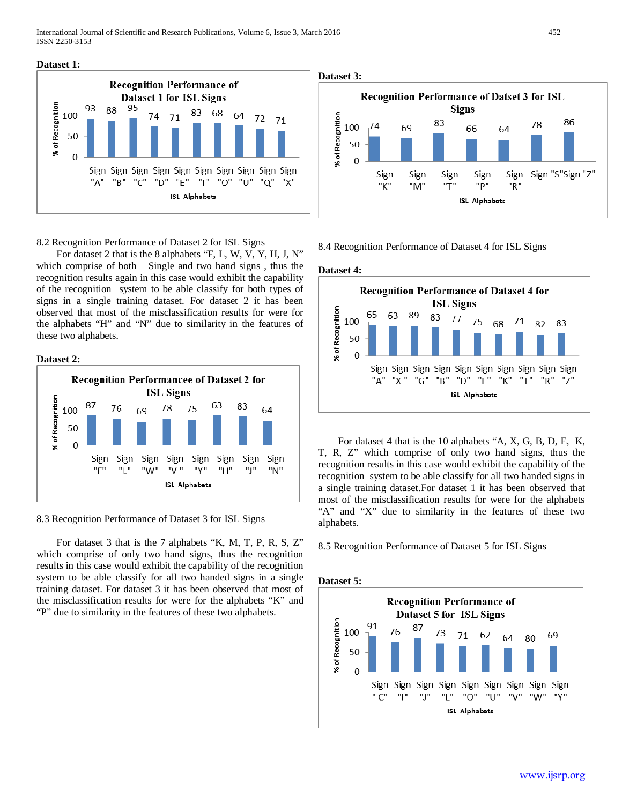International Journal of Scientific and Research Publications, Volume 6, Issue 3, March 2016 452 ISSN 2250-3153





8.2 Recognition Performance of Dataset 2 for ISL Signs

 For dataset 2 that is the 8 alphabets "F, L, W, V, Y, H, J, N" which comprise of both Single and two hand signs , thus the recognition results again in this case would exhibit the capability of the recognition system to be able classify for both types of signs in a single training dataset. For dataset 2 it has been observed that most of the misclassification results for were for the alphabets "H" and "N" due to similarity in the features of these two alphabets.





8.3 Recognition Performance of Dataset 3 for ISL Signs

 For dataset 3 that is the 7 alphabets "K, M, T, P, R, S, Z" which comprise of only two hand signs, thus the recognition results in this case would exhibit the capability of the recognition system to be able classify for all two handed signs in a single training dataset. For dataset 3 it has been observed that most of the misclassification results for were for the alphabets "K" and "P" due to similarity in the features of these two alphabets.

**Dataset 3:**



8.4 Recognition Performance of Dataset 4 for ISL Signs





 For dataset 4 that is the 10 alphabets "A, X, G, B, D, E, K, T, R, Z" which comprise of only two hand signs, thus the recognition results in this case would exhibit the capability of the recognition system to be able classify for all two handed signs in a single training dataset.For dataset 1 it has been observed that most of the misclassification results for were for the alphabets "A" and "X" due to similarity in the features of these two alphabets.

8.5 Recognition Performance of Dataset 5 for ISL Signs